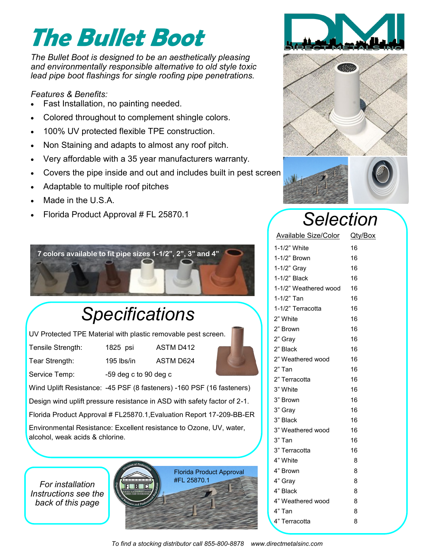# **The Bullet Boot**

*The Bullet Boot is designed to be an aesthetically pleasing and environmentally responsible alternative to old style toxic lead pipe boot flashings for single roofing pipe penetrations.* 

#### *Features & Benefits:*

- Fast Installation, no painting needed.
- Colored throughout to complement shingle colors.
- 100% UV protected flexible TPE construction.
- Non Staining and adapts to almost any roof pitch.
- Very affordable with a 35 year manufacturers warranty.
- Covers the pipe inside and out and includes built in pest screen
- Adaptable to multiple roof pitches
- Made in the U.S.A.
- Florida Product Approval # FL 25870.1



#### *Specifications*

UV Protected TPE Material with plastic removable pest screen.

Tensile Strength: 1825 psi ASTM D412

Tear Strength: 195 lbs/in ASTM D624

Service Temp: -59 deg c to 90 deg c



Wind Uplift Resistance: -45 PSF (8 fasteners) -160 PSF (16 fasteners)

Design wind uplift pressure resistance in ASD with safety factor of 2-1.

Florida Product Approval # FL25870.1,Evaluation Report 17-209-BB-ER

Environmental Resistance: Excellent resistance to Ozone, UV, water, alcohol, weak acids & chlorine.











### *Selection*

| <b>Available Size/Color</b> | Qty/Box |
|-----------------------------|---------|
| 1-1/2" White                | 16      |
| 1-1/2" Brown                | 16      |
| 1-1/2" Gray                 | 16      |
| 1-1/2" Black                | 16      |
| 1-1/2" Weathered wood       | 16      |
| 1-1/2" Tan                  | 16      |
| 1-1/2" Terracotta           | 16      |
| 2" White                    | 16      |
| 2" Brown                    | 16      |
| 2" Gray                     | 16      |
| 2" Black                    | 16      |
| 2" Weathered wood           | 16      |
| 2" Tan                      | 16      |
| 2" Terracotta               | 16      |
| 3" White                    | 16      |
| 3" Brown                    | 16      |
| 3" Gray                     | 16      |
| 3" Black                    | 16      |
| 3" Weathered wood           | 16      |
| 3" Tan                      | 16      |
| 3" Terracotta               | 16      |
| 4" White                    | 8       |
| 4" Brown                    | 8       |
| 4" Gray                     | 8       |
| 4" Black                    | 8       |
| 4" Weathered wood           | 8       |
| 4" Tan                      | 8       |
| 4" Terracotta               | 8       |